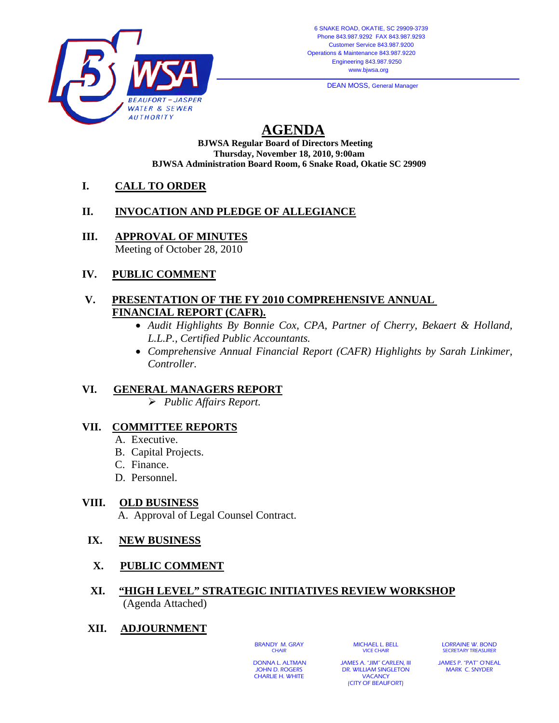

**DEAN MOSS, General Manager** 

# **AGENDA**

**BJWSA Regular Board of Directors Meeting Thursday, November 18, 2010, 9:00am BJWSA Administration Board Room, 6 Snake Road, Okatie SC 29909** 

### **I. CALL TO ORDER**

#### **II. INVOCATION AND PLEDGE OF ALLEGIANCE**

**III. APPROVAL OF MINUTES**

Meeting of October 28, 2010

#### **IV. PUBLIC COMMENT**

#### **V. PRESENTATION OF THE FY 2010 COMPREHENSIVE ANNUAL FINANCIAL REPORT (CAFR).**

- *Audit Highlights By Bonnie Cox, CPA, Partner of Cherry*, *Bekaert & Holland, L.L.P., Certified Public Accountants.*
- *Comprehensive Annual Financial Report (CAFR) Highlights by Sarah Linkimer, Controller.*

## **VI. GENERAL MANAGERS REPORT**

¾ *Public Affairs Report.*

#### **VII. COMMITTEE REPORTS**

- A. Executive.
- B. Capital Projects.
- C. Finance.
- D. Personnel.

#### **VIII. OLD BUSINESS**

A. Approval of Legal Counsel Contract.

#### **IX. NEW BUSINESS**

 **X. PUBLIC COMMENT**

#### **XI. "HIGH LEVEL" STRATEGIC INITIATIVES REVIEW WORKSHOP** (Agenda Attached)

#### **XII. ADJOURNMENT**

BRANDY M. GRAY **CHAIR** 

MICHAEL L. BELL VICE CHAIR

LORRAINE W. BOND SECRETARY TREASURER

 DONNA L. ALTMAN JOHN D. ROGERS CHARLIE H. WHITE

JAMES A. "JIM" CARLEN, III DR. WILLIAM SINGLETON **VACANCY** (CITY OF BEAUFORT)

JAMES P. "PAT" O'NEAL MARK C. SNYDER